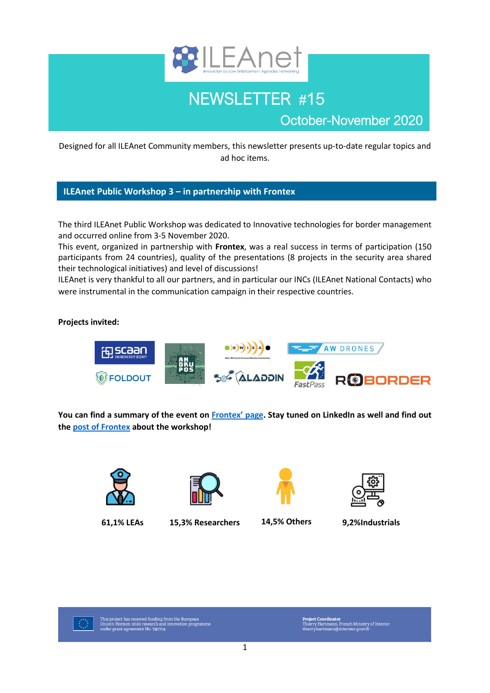

# NEWSLETTER #15

October-November 2020

Designed for all ILEAnet Community members, this newsletter presents up-to-date regular topics and ad hoc items.

## **ILEAnet Public Workshop 3 – in partnership with Frontex**

The third ILEAnet Public Workshop was dedicated to Innovative technologies for border management and occurred online from 3-5 November 2020.

This event, organized in partnership with **Frontex**, was a real success in terms of participation (150 participants from 24 countries), quality of the presentations (8 projects in the security area shared their technological initiatives) and level of discussions!

ILEAnet is very thankful to all our partners, and in particular our INCs (ILEAnet National Contacts) who were instrumental in the communication campaign in their respective countries.

### **Projects invited:**



**You can find a summary of the event on [Frontex' page](https://frontex.europa.eu/research/eu-research/news-and-events/frontex-supports-ileanet-virtual-workshop-STf5fV). Stay tuned on LinkedIn as well and find out th[e post of Frontex](https://www.linkedin.com/company/ileanet-project-scientific-coordination/) about the workshop!**



**61,1% LEAs 15,3% Researchers 14,5% Others 9,2%Industrials**







This project has received funding from the European<br>Union's Horizon 2020 research and innovation programme<br>under grant agreement No. 740714.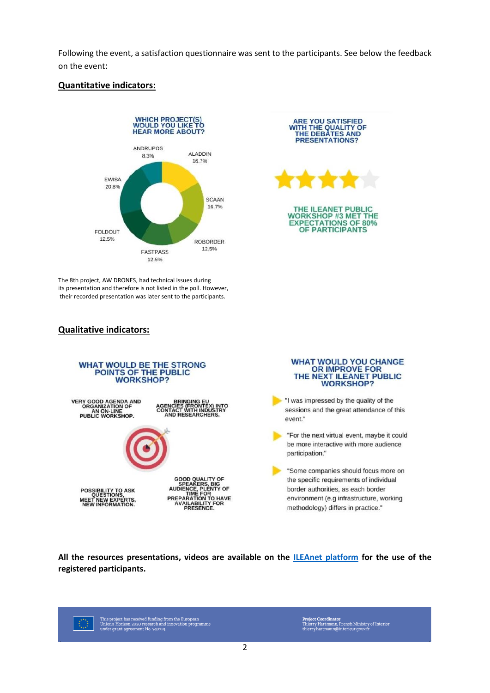Following the event, a satisfaction questionnaire was sent to the participants. See below the feedback on the event:

### **Quantitative indicators:**





The 8th project, AW DRONES, had technical issues during its presentation and therefore is not listed in the poll. However, their recorded presentation was later sent to the participants.

### **Qualitative indicators:**



### **WHAT WOULD YOU CHANGE** OR IMPROVE FOR<br>THE NEXT ILEANET PUBLIC **WORKSHOP?**

If I was impressed by the quality of the sessions and the great attendance of this event."

"For the next virtual event, maybe it could be more interactive with more audience participation."

"Some companies should focus more on the specific requirements of individual border authorities, as each border environment (e.g infrastructure, working methodology) differs in practice."

**All the resources presentations, videos are available on the ILEAnet [platform](https://ileanet.sym.place/) for the use of the registered participants.**

This project has received funding from the European<br>Union's Horizon 2020 research and innovation programme<br>under grant agreement No. 740714. €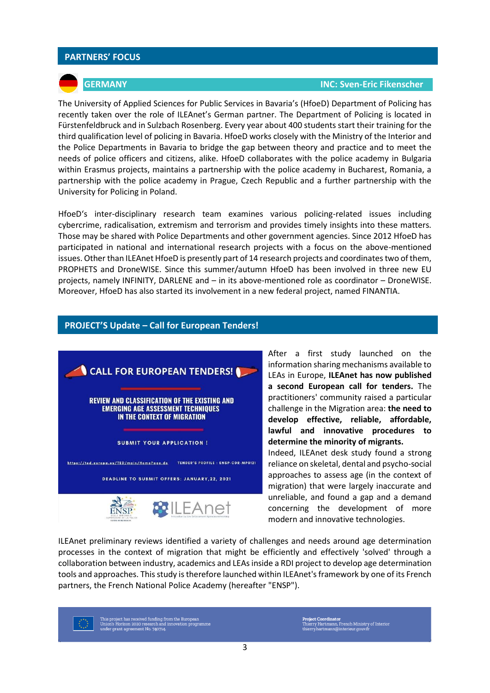### **PARTNERS' FOCUS**

### **GERMANY INC: Sven-Eric Fikenscher**

The University of Applied Sciences for Public Services in Bavaria's (HfoeD) Department of Policing has recently taken over the role of ILEAnet's German partner. The Department of Policing is located in Fürstenfeldbruck and in Sulzbach Rosenberg. Every year about 400 students start their training for the third qualification level of policing in Bavaria. HfoeD works closely with the Ministry of the Interior and the Police Departments in Bavaria to bridge the gap between theory and practice and to meet the needs of police officers and citizens, alike. HfoeD collaborates with the police academy in Bulgaria within Erasmus projects, maintains a partnership with the police academy in Bucharest, Romania, a partnership with the police academy in Prague, Czech Republic and a further partnership with the University for Policing in Poland.

HfoeD's inter-disciplinary research team examines various policing-related issues including cybercrime, radicalisation, extremism and terrorism and provides timely insights into these matters. Those may be shared with Police Departments and other government agencies. Since 2012 HfoeD has participated in national and international research projects with a focus on the above-mentioned issues. Other than ILEAnet HfoeD is presently part of 14 research projects and coordinates two of them, PROPHETS and DroneWISE. Since this summer/autumn HfoeD has been involved in three new EU projects, namely INFINITY, DARLENE and – in its above-mentioned role as coordinator – DroneWISE. Moreover, HfoeD has also started its involvement in a new federal project, named FINANTIA.

### **PROJECT'S Update – Call for European Tenders!**



After a first study launched on the information sharing mechanisms available to LEAs in Europe, **ILEAnet has now published a second European call for tenders.** The practitioners' community raised a particular challenge in the Migration area: **the need to develop effective, reliable, affordable, lawful and innovative procedures to determine the minority of migrants.**  Indeed, ILEAnet desk study found a strong reliance on skeletal, dental and psycho-social approaches to assess age (in the context of

migration) that were largely inaccurate and unreliable, and found a gap and a demand concerning the development of more modern and innovative technologies.

ILEAnet preliminary reviews identified a variety of challenges and needs around age determination processes in the context of migration that might be efficiently and effectively 'solved' through a collaboration between industry, academics and LEAs inside a RDI project to develop age determination tools and approaches. This study is therefore launched within ILEAnet's framework by one of its French partners, the French National Police Academy (hereafter "ENSP").

This project has received funding from the European<br>Union's Horizon 2020 research and innovation programme<br>under grant agreement No. 740714.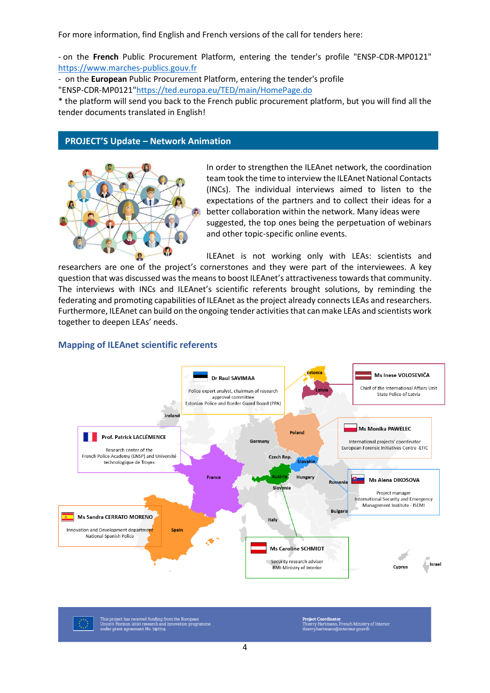For more information, find English and French versions of the call for tenders here:

- on the **French** Public Procurement Platform, entering the tender's profile "ENSP-CDR-MP0121" [https://www.marches-publics.gouv.fr](https://www.marches-publics.gouv.fr/) 

- on the **European** Public Procurement Platform, entering the tender's profile

"ENSP-CDR-MP0121["https://ted.europa.eu/TED/main/HomePage.do](https://ted.europa.eu/TED/main/HomePage.do)

\* the platform will send you back to the French public procurement platform, but you will find all the tender documents translated in English!

### **PROJECT'S Update – Network Animation**



In order to strengthen the ILEAnet network, the coordination team took the time to interview the ILEAnet National Contacts (INCs). The individual interviews aimed to listen to the expectations of the partners and to collect their ideas for a better collaboration within the network. Many ideas were suggested, the top ones being the perpetuation of webinars and other topic-specific online events.

ILEAnet is not working only with LEAs: scientists and researchers are one of the project's cornerstones and they were part of the interviewees. A key question that was discussed was the meansto boost ILEAnet's attractivenesstowards that community. The interviews with INCs and ILEAnet's scientific referents brought solutions, by reminding the federating and promoting capabilities of ILEAnet asthe project already connects LEAs and researchers. Furthermore, ILEAnet can build on the ongoing tender activitiesthat can make LEAs and scientists work together to deepen LEAs' needs.

### **Mapping of ILEAnet scientific referents**



This project has received funding from the European<br>Union's Horizon 2020 research and innovation programme<br>under grant agreement No. 740714.